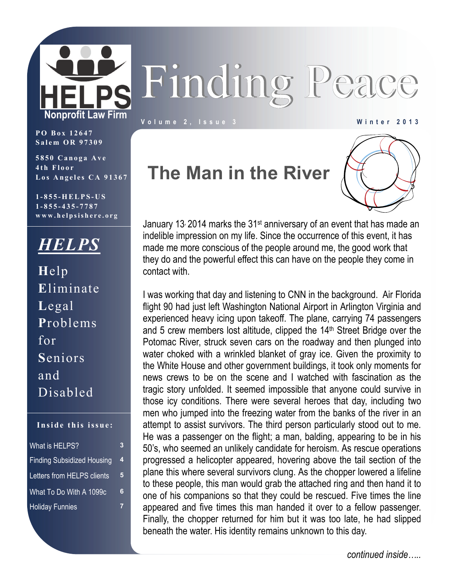

**Volume 2, Issue 3 Winter 2013** 

**PO Box 12647 Salem OR 97309** 

**5850 Canoga Ave 4th Floor Los Angeles CA 91367** 

**1-855-HELPS-US 1-855-435-7787 www.helpsishere.org**

### *HELPS*

**H**elp **E**liminate **L**egal **P**roblems for **S**eniors and Disabled

#### **Inside this issue:**

| What is HELPS?                    | 3 |
|-----------------------------------|---|
| <b>Finding Subsidized Housing</b> | 4 |
| Letters from HELPS clients        | 5 |
| What To Do With A 1099c           | 6 |
| <b>Holiday Funnies</b>            |   |

### **The Man in the River**



January 13 2014 marks the 31<sup>st</sup> anniversary of an event that has made an indelible impression on my life. Since the occurrence of this event, it has made me more conscious of the people around me, the good work that they do and the powerful effect this can have on the people they come in contact with.

I was working that day and listening to CNN in the background. Air Florida flight 90 had just left Washington National Airport in Arlington Virginia and experienced heavy icing upon takeoff. The plane, carrying 74 passengers and 5 crew members lost altitude, clipped the  $14<sup>th</sup>$  Street Bridge over the Potomac River, struck seven cars on the roadway and then plunged into water choked with a wrinkled blanket of gray ice. Given the proximity to the White House and other government buildings, it took only moments for news crews to be on the scene and I watched with fascination as the tragic story unfolded. It seemed impossible that anyone could survive in those icy conditions. There were several heroes that day, including two men who jumped into the freezing water from the banks of the river in an attempt to assist survivors. The third person particularly stood out to me. He was a passenger on the flight; a man, balding, appearing to be in his 50's, who seemed an unlikely candidate for heroism. As rescue operations progressed a helicopter appeared, hovering above the tail section of the plane this where several survivors clung. As the chopper lowered a lifeline to these people, this man would grab the attached ring and then hand it to one of his companions so that they could be rescued. Five times the line appeared and five times this man handed it over to a fellow passenger. Finally, the chopper returned for him but it was too late, he had slipped beneath the water. His identity remains unknown to this day.

*continued inside…..*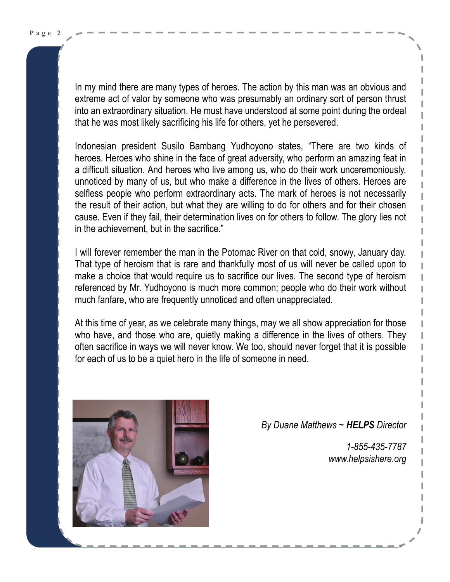In my mind there are many types of heroes. The action by this man was an obvious and extreme act of valor by someone who was presumably an ordinary sort of person thrust into an extraordinary situation. He must have understood at some point during the ordeal that he was most likely sacrificing his life for others, yet he persevered.

Indonesian president [Susilo Bambang Yudhoyono](http://www.goodreads.com/author/show/771738.Susilo_Bambang_Yudhoyono) states, "There are two kinds of heroes. Heroes who shine in the face of great adversity, who perform an amazing feat in a difficult situation. And heroes who live among us, who do their work unceremoniously, unnoticed by many of us, but who make a difference in the lives of others. Heroes are selfless people who perform extraordinary acts. The mark of heroes is not necessarily the result of their action, but what they are willing to do for others and for their chosen cause. Even if they fail, their determination lives on for others to follow. The glory lies not in the achievement, but in the sacrifice."

I will forever remember the man in the Potomac River on that cold, snowy, January day. That type of heroism that is rare and thankfully most of us will never be called upon to make a choice that would require us to sacrifice our lives. The second type of heroism referenced by Mr. Yudhoyono is much more common; people who do their work without much fanfare, who are frequently unnoticed and often unappreciated.

At this time of year, as we celebrate many things, may we all show appreciation for those who have, and those who are, quietly making a difference in the lives of others. They often sacrifice in ways we will never know. We too, should never forget that it is possible for each of us to be a quiet hero in the life of someone in need.



 *By Duane Matthews ~ HELPS Director* 

 *1-855-435-7787 www.helpsishere.org*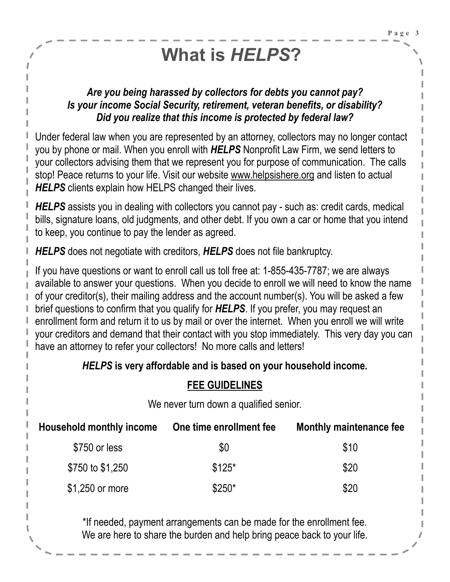# **What is** *HELPS***?**

#### *Are you being harassed by collectors for debts you cannot pay? Is your income Social Security, retirement, veteran benefits, or disability? Did you realize that this income is protected by federal law?*

Under federal law when you are represented by an attorney, collectors may no longer contact you by phone or mail. When you enroll with *HELPS* Nonprofit Law Firm, we send letters to your collectors advising them that we represent you for purpose of communication. The calls stop! Peace returns to your life. Visit our website www.helpsishere.org and listen to actual **HELPS** clients explain how HELPS changed their lives.

*HELPS* assists you in dealing with collectors you cannot pay - such as: credit cards, medical bills, signature loans, old judgments, and other debt. If you own a car or home that you intend to keep, you continue to pay the lender as agreed.

*HELPS* does not negotiate with creditors, *HELPS* does not file bankruptcy.

If you have questions or want to enroll call us toll free at: 1-855-435-7787; we are always available to answer your questions. When you decide to enroll we will need to know the name of your creditor(s), their mailing address and the account number(s). You will be asked a few brief questions to confirm that you qualify for *HELPS*. If you prefer, you may request an enrollment form and return it to us by mail or over the internet. When you enroll we will write your creditors and demand that their contact with you stop immediately. This very day you can have an attorney to refer your collectors! No more calls and letters!

### *HELPS* **is very affordable and is based on your household income.**

### **FEE GUIDELINES**

We never turn down a qualified senior.

| Household monthly income | One time enrollment fee | Monthly maintenance fee |
|--------------------------|-------------------------|-------------------------|
| \$750 or less            | \$0                     | \$10                    |
| \$750 to \$1,250         | $$125*$                 | \$20                    |
| \$1,250 or more          | $$250*$                 | \$20                    |

\*If needed, payment arrangements can be made for the enrollment fee. We are here to share the burden and help bring peace back to your life.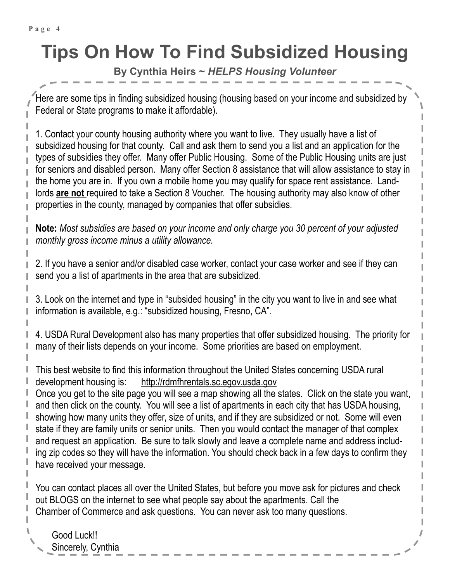# **Tips On How To Find Subsidized Housing**

**By Cynthia Heirs ~** *HELPS Housing Volunteer* 

Here are some tips in finding subsidized housing (housing based on your income and subsidized by Federal or State programs to make it affordable).

1. Contact your county housing authority where you want to live. They usually have a list of subsidized housing for that county. Call and ask them to send you a list and an application for the types of subsidies they offer. Many offer Public Housing. Some of the Public Housing units are just for seniors and disabled person. Many offer Section 8 assistance that will allow assistance to stay in the home you are in. If you own a mobile home you may qualify for space rent assistance. Landlords **are not** required to take a Section 8 Voucher. The housing authority may also know of other properties in the county, managed by companies that offer subsidies.

**Note:** *Most subsidies are based on your income and only charge you 30 percent of your adjusted monthly gross income minus a utility allowance.*

2. If you have a senior and/or disabled case worker, contact your case worker and see if they can send you a list of apartments in the area that are subsidized.

3. Look on the internet and type in "subsided housing" in the city you want to live in and see what information is available, e.g.: "subsidized housing, Fresno, CA".

4. USDA Rural Development also has many properties that offer subsidized housing. The priority for many of their lists depends on your income. Some priorities are based on employment.

This best website to find this information throughout the United States concerning USDA rural development housing is: <http://rdmfhrentals.sc.egov.usda.gov>

Once you get to the site page you will see a map showing all the states. Click on the state you want, and then click on the county. You will see a list of apartments in each city that has USDA housing, showing how many units they offer, size of units, and if they are subsidized or not. Some will even state if they are family units or senior units. Then you would contact the manager of that complex and request an application. Be sure to talk slowly and leave a complete name and address including zip codes so they will have the information. You should check back in a few days to confirm they have received your message.

You can contact places all over the United States, but before you move ask for pictures and check out BLOGS on the internet to see what people say about the apartments. Call the Chamber of Commerce and ask questions. You can never ask too many questions.

Good Luck!! Sincerely, Cynthia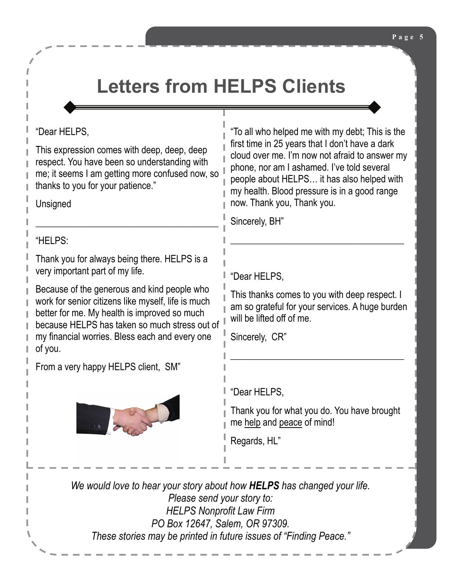## **Letters from HELPS Clients**

#### "Dear HELPS,

This expression comes with deep, deep, deep respect. You have been so understanding with me; it seems I am getting more confused now, so thanks to you for your patience."

\_\_\_\_\_\_\_\_\_\_\_\_\_\_\_\_\_\_\_\_\_\_\_\_\_\_\_\_\_\_\_\_\_\_\_\_\_\_\_

**Unsigned** 

"HELPS:

Thank you for always being there. HELPS is a very important part of my life.

Because of the generous and kind people who work for senior citizens like myself, life is much better for me. My health is improved so much because HELPS has taken so much stress out of my financial worries. Bless each and every one of you.

From a very happy HELPS client, SM"



"To all who helped me with my debt; This is the first time in 25 years that I don't have a dark cloud over me. I'm now not afraid to answer my phone, nor am I ashamed. I've told several people about HELPS… it has also helped with my health. Blood pressure is in a good range now. Thank you, Thank you.

Sincerely, BH"

"Dear HELPS,

This thanks comes to you with deep respect. I am so grateful for your services. A huge burden will be lifted off of me.

\_\_\_\_\_\_\_\_\_\_\_\_\_\_\_\_\_\_\_\_\_\_\_\_\_\_\_\_\_\_\_\_\_\_\_\_\_

\_\_\_\_\_\_\_\_\_\_\_\_\_\_\_\_\_\_\_\_\_\_\_\_\_\_\_\_\_\_\_\_\_\_\_\_\_

Sincerely, CR"

"Dear HELPS,

Thank you for what you do. You have brought me help and peace of mind!

Regards, HL"

*We would love to hear your story about how HELPS has changed your life. Please send your story to: HELPS Nonprofit Law Firm PO Box 12647, Salem, OR 97309. These stories may be printed in future issues of "Finding Peace."*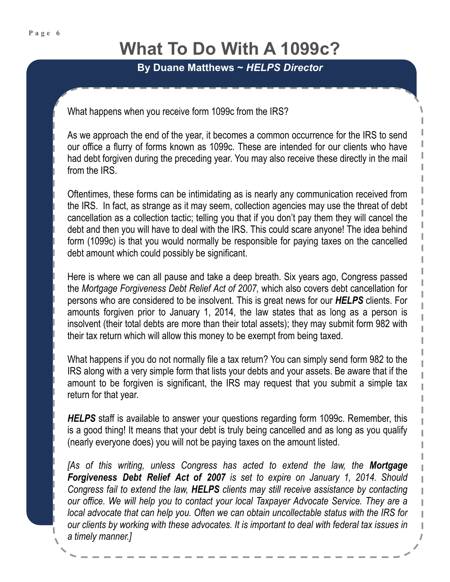### **What To Do With A 1099c?**

**By Duane Matthews ~** *HELPS Director*

What happens when you receive form 1099c from the IRS?

As we approach the end of the year, it becomes a common occurrence for the IRS to send our office a flurry of forms known as 1099c. These are intended for our clients who have had debt forgiven during the preceding year. You may also receive these directly in the mail from the IRS.

Oftentimes, these forms can be intimidating as is nearly any communication received from the IRS. In fact, as strange as it may seem, collection agencies may use the threat of debt cancellation as a collection tactic; telling you that if you don't pay them they will cancel the debt and then you will have to deal with the IRS. This could scare anyone! The idea behind form (1099c) is that you would normally be responsible for paying taxes on the cancelled debt amount which could possibly be significant.

Here is where we can all pause and take a deep breath. Six years ago, Congress passed the *Mortgage Forgiveness Debt Relief Act of 2007,* which also covers debt cancellation for persons who are considered to be insolvent. This is great news for our *HELPS* clients. For amounts forgiven prior to January 1, 2014, the law states that as long as a person is insolvent (their total debts are more than their total assets); they may submit form 982 with their tax return which will allow this money to be exempt from being taxed.

What happens if you do not normally file a tax return? You can simply send form 982 to the IRS along with a very simple form that lists your debts and your assets. Be aware that if the amount to be forgiven is significant, the IRS may request that you submit a simple tax return for that year.

*HELPS* staff is available to answer your questions regarding form 1099c. Remember, this is a good thing! It means that your debt is truly being cancelled and as long as you qualify (nearly everyone does) you will not be paying taxes on the amount listed.

*[As of this writing, unless Congress has acted to extend the law, the Mortgage Forgiveness Debt Relief Act of 2007 is set to expire on January 1, 2014. Should Congress fail to extend the law, HELPS clients may still receive assistance by contacting our office. We will help you to contact your local Taxpayer Advocate Service. They are a local advocate that can help you. Often we can obtain uncollectable status with the IRS for our clients by working with these advocates. It is important to deal with federal tax issues in a timely manner.]*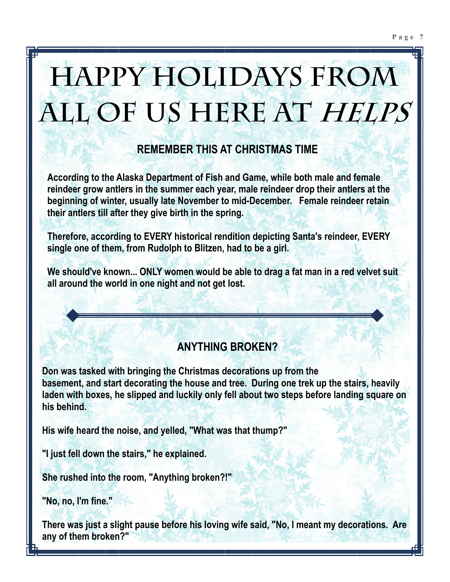# **Happy Holidays from all of us here at HELPS**

### **REMEMBER THIS AT CHRISTMAS TIME**

**According to the Alaska Department of Fish and Game, while both male and female reindeer grow antlers in the summer each year, male reindeer drop their antlers at the beginning of winter, usually late November to mid-December. Female reindeer retain their antlers till after they give birth in the spring.** 

**Therefore, according to EVERY historical rendition depicting Santa's reindeer, EVERY single one of them, from Rudolph to Blitzen, had to be a girl.** 

**We should've known... ONLY women would be able to drag a fat man in a red velvet suit all around the world in one night and not get lost.** 

### **ANYTHING BROKEN?**

**Don was tasked with bringing the Christmas decorations up from the basement, and start decorating the house and tree. During one trek up the stairs, heavily laden with boxes, he slipped and luckily only fell about two steps before landing square on his behind.** 

**His wife heard the noise, and yelled, "What was that thump?"** 

**"I just fell down the stairs," he explained.** 

**She rushed into the room, "Anything broken?!"** 

**"No, no, I'm fine."** 

**There was just a slight pause before his loving wife said, "No, I meant my decorations. Are any of them broken?"**